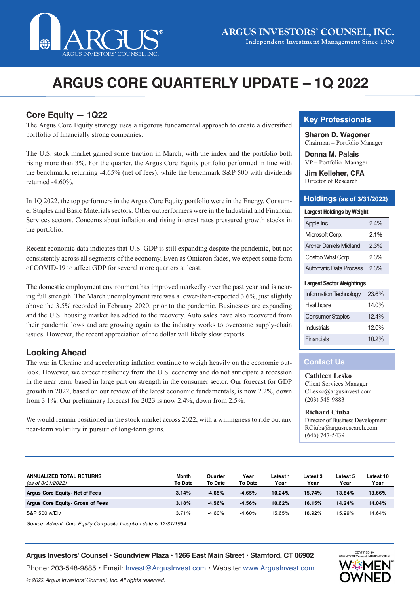

# **ARGUS CORE QUARTERLY UPDATE – 1Q 2022**

## **Core Equity — 1Q22**

The Argus Core Equity strategy uses a rigorous fundamental approach to create a diversified portfolio of financially strong companies.

The U.S. stock market gained some traction in March, with the index and the portfolio both rising more than 3%. For the quarter, the Argus Core Equity portfolio performed in line with the benchmark, returning -4.65% (net of fees), while the benchmark S&P 500 with dividends returned -4.60%.

In 1Q 2022, the top performers in the Argus Core Equity portfolio were in the Energy, Consumer Staples and Basic Materials sectors. Other outperformers were in the Industrial and Financial Services sectors. Concerns about inflation and rising interest rates pressured growth stocks in the portfolio.

Recent economic data indicates that U.S. GDP is still expanding despite the pandemic, but not consistently across all segments of the economy. Even as Omicron fades, we expect some form of COVID-19 to affect GDP for several more quarters at least.

The domestic employment environment has improved markedly over the past year and is nearing full strength. The March unemployment rate was a lower-than-expected 3.6%, just slightly above the 3.5% recorded in February 2020, prior to the pandemic. Businesses are expanding and the U.S. housing market has added to the recovery. Auto sales have also recovered from their pandemic lows and are growing again as the industry works to overcome supply-chain issues. However, the recent appreciation of the dollar will likely slow exports.

## **Looking Ahead**

The war in Ukraine and accelerating inflation continue to weigh heavily on the economic outlook. However, we expect resiliency from the U.S. economy and do not anticipate a recession in the near term, based in large part on strength in the consumer sector. Our forecast for GDP growth in 2022, based on our review of the latest economic fundamentals, is now 2.2%, down from 3.1%. Our preliminary forecast for 2023 is now 2.4%, down from 2.5%.

We would remain positioned in the stock market across 2022, with a willingness to ride out any near-term volatility in pursuit of long-term gains.

## **Key Professionals**

**Sharon D. Wagoner** Chairman – Portfolio Manager

**Donna M. Palais** VP – Portfolio Manager

**Jim Kelleher, CFA** Director of Research

### **Holdings (as of 3/31/2022)**

|  |  | <b>Largest Holdings by Weight</b> |
|--|--|-----------------------------------|
|--|--|-----------------------------------|

| Apple Inc.                    | 24%     |  |  |
|-------------------------------|---------|--|--|
| Microsoft Corp.               | $2.1\%$ |  |  |
| <b>Archer Daniels Midland</b> | 2.3%    |  |  |
| Costco Whsl Corp.             | 2.3%    |  |  |
| Automatic Data Process        | $2.3\%$ |  |  |

#### **Largest Sector Weightings**

| Information Technology  | 23.6% |
|-------------------------|-------|
| Healthcare              | 14.0% |
| <b>Consumer Staples</b> | 124%  |
| Industrials             | 12.0% |
| Financials              | 10.2% |

#### **Contact Us**

**Cathleen Lesko** Client Services Manager CLesko@argusinvest.com (203) 548-9883

**Richard Ciuba** Director of Business Development RCiuba@argusresearch.com (646) 747-5439

| <b>ANNUALIZED TOTAL RETURNS</b><br>(as of 3/31/2022) | <b>Month</b><br>To Date | Quarter<br><b>To Date</b> | Year<br>To Date | Latest 1<br>Year | Latest 3<br>Year | Latest 5<br>Year | Latest 10<br>Year |
|------------------------------------------------------|-------------------------|---------------------------|-----------------|------------------|------------------|------------------|-------------------|
| Argus Core Equity- Net of Fees                       | 3.14%                   | $-4.65%$                  | $-4.65%$        | 10.24%           | 15.74%           | 13.84%           | 13.66%            |
| Argus Core Equity- Gross of Fees                     | 3.18%                   | $-4.56%$                  | $-4.56%$        | 10.62%           | 16.15%           | 14.24%           | 14.04%            |
| S&P 500 w/Div                                        | 3.71%                   | $-4.60%$                  | $-4.60%$        | 15.65%           | 18.92%           | 15.99%           | 14.64%            |

*Source: Advent. Core Equity Composite Inception date is 12/31/1994.*

#### **Argus Investors' Counsel • Soundview Plaza • 1266 East Main Street • Stamford, CT 06902**

Phone: 203-548-9885 • Email: [Invest@ArgusInvest.com](mailto:?subject=) • Website: [www.ArgusInvest.com](http://www.ArgusInvest.com) © 2022 Argus Investors' Counsel, Inc. All rights reserved.